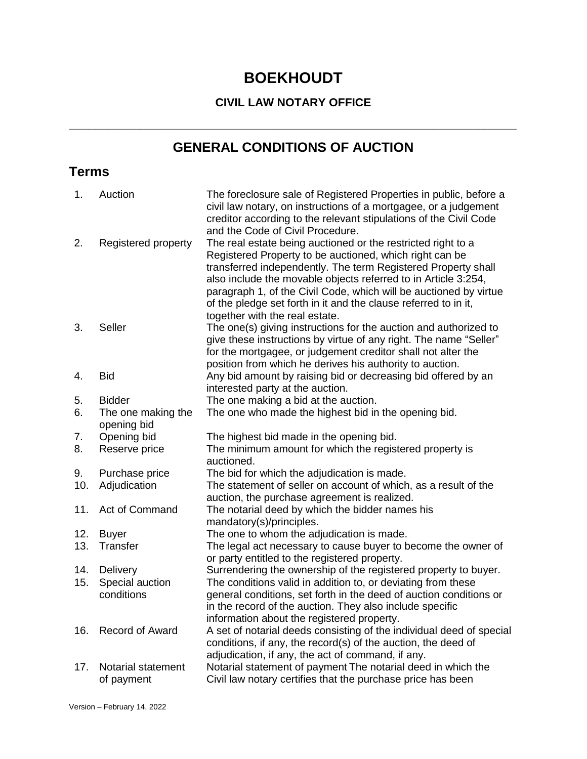# **BOEKHOUDT**

### **CIVIL LAW NOTARY OFFICE**

# **GENERAL CONDITIONS OF AUCTION**

**\_\_\_\_\_\_\_\_\_\_\_\_\_\_\_\_\_\_\_\_\_\_\_\_\_\_\_\_\_\_\_\_\_\_\_\_\_\_\_\_\_\_\_\_\_\_\_\_\_\_\_\_\_\_\_\_\_\_\_\_\_\_\_\_\_\_\_\_\_\_**

## **Terms**

| Auction                           | The foreclosure sale of Registered Properties in public, before a<br>civil law notary, on instructions of a mortgagee, or a judgement<br>creditor according to the relevant stipulations of the Civil Code<br>and the Code of Civil Procedure.                                                                                                                                                                                       |
|-----------------------------------|--------------------------------------------------------------------------------------------------------------------------------------------------------------------------------------------------------------------------------------------------------------------------------------------------------------------------------------------------------------------------------------------------------------------------------------|
| Registered property               | The real estate being auctioned or the restricted right to a<br>Registered Property to be auctioned, which right can be<br>transferred independently. The term Registered Property shall<br>also include the movable objects referred to in Article 3:254,<br>paragraph 1, of the Civil Code, which will be auctioned by virtue<br>of the pledge set forth in it and the clause referred to in it,<br>together with the real estate. |
| <b>Seller</b>                     | The one(s) giving instructions for the auction and authorized to<br>give these instructions by virtue of any right. The name "Seller"<br>for the mortgagee, or judgement creditor shall not alter the<br>position from which he derives his authority to auction.                                                                                                                                                                    |
| <b>Bid</b>                        | Any bid amount by raising bid or decreasing bid offered by an<br>interested party at the auction.                                                                                                                                                                                                                                                                                                                                    |
| <b>Bidder</b>                     | The one making a bid at the auction.                                                                                                                                                                                                                                                                                                                                                                                                 |
| The one making the<br>opening bid | The one who made the highest bid in the opening bid.                                                                                                                                                                                                                                                                                                                                                                                 |
| Opening bid                       | The highest bid made in the opening bid.                                                                                                                                                                                                                                                                                                                                                                                             |
| Reserve price                     | The minimum amount for which the registered property is<br>auctioned.                                                                                                                                                                                                                                                                                                                                                                |
| Purchase price                    | The bid for which the adjudication is made.                                                                                                                                                                                                                                                                                                                                                                                          |
| Adjudication                      | The statement of seller on account of which, as a result of the<br>auction, the purchase agreement is realized.                                                                                                                                                                                                                                                                                                                      |
| Act of Command                    | The notarial deed by which the bidder names his<br>mandatory(s)/principles.                                                                                                                                                                                                                                                                                                                                                          |
| <b>Buyer</b>                      | The one to whom the adjudication is made.                                                                                                                                                                                                                                                                                                                                                                                            |
|                                   | The legal act necessary to cause buyer to become the owner of<br>or party entitled to the registered property.                                                                                                                                                                                                                                                                                                                       |
|                                   | Surrendering the ownership of the registered property to buyer.                                                                                                                                                                                                                                                                                                                                                                      |
|                                   | The conditions valid in addition to, or deviating from these                                                                                                                                                                                                                                                                                                                                                                         |
|                                   | general conditions, set forth in the deed of auction conditions or<br>in the record of the auction. They also include specific<br>information about the registered property.                                                                                                                                                                                                                                                         |
| Record of Award                   | A set of notarial deeds consisting of the individual deed of special<br>conditions, if any, the record(s) of the auction, the deed of<br>adjudication, if any, the act of command, if any.                                                                                                                                                                                                                                           |
| Notarial statement<br>of payment  | Notarial statement of payment The notarial deed in which the<br>Civil law notary certifies that the purchase price has been                                                                                                                                                                                                                                                                                                          |
|                                   | Transfer<br>Delivery<br>Special auction<br>conditions                                                                                                                                                                                                                                                                                                                                                                                |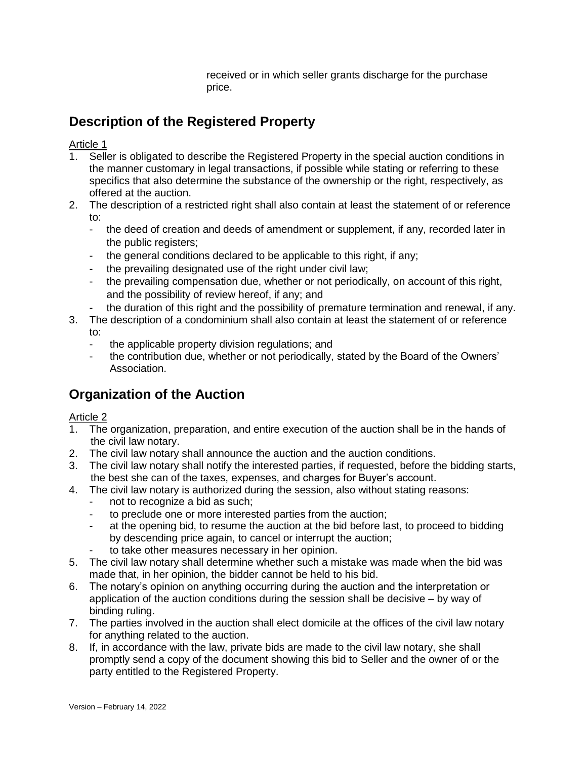received or in which seller grants discharge for the purchase price.

# **Description of the Registered Property**

Article 1

- 1. Seller is obligated to describe the Registered Property in the special auction conditions in the manner customary in legal transactions, if possible while stating or referring to these specifics that also determine the substance of the ownership or the right, respectively, as offered at the auction.
- 2. The description of a restricted right shall also contain at least the statement of or reference to:
	- the deed of creation and deeds of amendment or supplement, if any, recorded later in the public registers;
	- the general conditions declared to be applicable to this right, if any;
	- the prevailing designated use of the right under civil law;
	- the prevailing compensation due, whether or not periodically, on account of this right, and the possibility of review hereof, if any; and
	- the duration of this right and the possibility of premature termination and renewal, if any.
- 3. The description of a condominium shall also contain at least the statement of or reference to:
	- the applicable property division regulations; and
	- the contribution due, whether or not periodically, stated by the Board of the Owners' Association.

## **Organization of the Auction**

- 1. The organization, preparation, and entire execution of the auction shall be in the hands of the civil law notary.
- 2. The civil law notary shall announce the auction and the auction conditions.
- 3. The civil law notary shall notify the interested parties, if requested, before the bidding starts, the best she can of the taxes, expenses, and charges for Buyer's account.
- 4. The civil law notary is authorized during the session, also without stating reasons:
	- not to recognize a bid as such;
	- to preclude one or more interested parties from the auction;
	- at the opening bid, to resume the auction at the bid before last, to proceed to bidding by descending price again, to cancel or interrupt the auction;
	- to take other measures necessary in her opinion.
- 5. The civil law notary shall determine whether such a mistake was made when the bid was made that, in her opinion, the bidder cannot be held to his bid.
- 6. The notary's opinion on anything occurring during the auction and the interpretation or application of the auction conditions during the session shall be decisive – by way of binding ruling.
- 7. The parties involved in the auction shall elect domicile at the offices of the civil law notary for anything related to the auction.
- 8. If, in accordance with the law, private bids are made to the civil law notary, she shall promptly send a copy of the document showing this bid to Seller and the owner of or the party entitled to the Registered Property.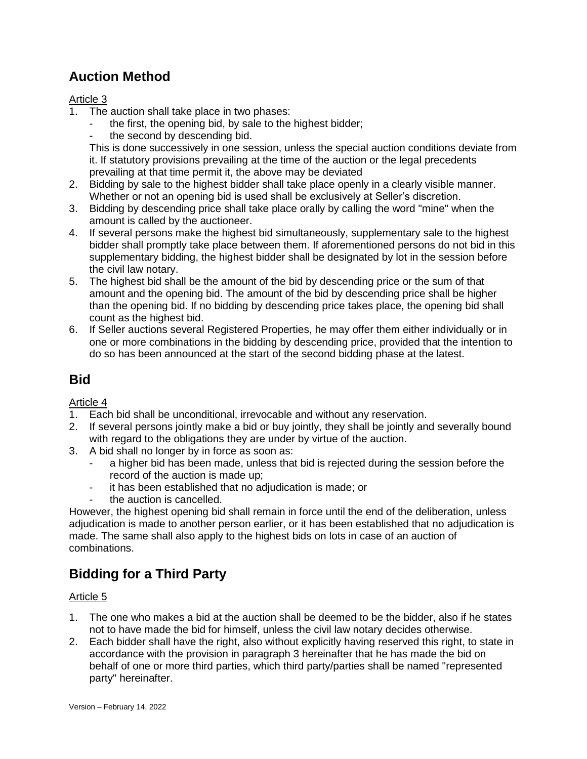## **Auction Method**

#### Article 3

- 1. The auction shall take place in two phases:
	- the first, the opening bid, by sale to the highest bidder;
	- the second by descending bid.

This is done successively in one session, unless the special auction conditions deviate from it. If statutory provisions prevailing at the time of the auction or the legal precedents prevailing at that time permit it, the above may be deviated

- 2. Bidding by sale to the highest bidder shall take place openly in a clearly visible manner. Whether or not an opening bid is used shall be exclusively at Seller's discretion.
- 3. Bidding by descending price shall take place orally by calling the word "mine" when the amount is called by the auctioneer.
- 4. If several persons make the highest bid simultaneously, supplementary sale to the highest bidder shall promptly take place between them. If aforementioned persons do not bid in this supplementary bidding, the highest bidder shall be designated by lot in the session before the civil law notary.
- 5. The highest bid shall be the amount of the bid by descending price or the sum of that amount and the opening bid. The amount of the bid by descending price shall be higher than the opening bid. If no bidding by descending price takes place, the opening bid shall count as the highest bid.
- 6. If Seller auctions several Registered Properties, he may offer them either individually or in one or more combinations in the bidding by descending price, provided that the intention to do so has been announced at the start of the second bidding phase at the latest.

### **Bid**

#### Article 4

- 1. Each bid shall be unconditional, irrevocable and without any reservation.
- 2. If several persons jointly make a bid or buy jointly, they shall be jointly and severally bound with regard to the obligations they are under by virtue of the auction.
- 3. A bid shall no longer by in force as soon as:
	- a higher bid has been made, unless that bid is rejected during the session before the record of the auction is made up;
	- it has been established that no adjudication is made; or
	- the auction is cancelled.

However, the highest opening bid shall remain in force until the end of the deliberation, unless adjudication is made to another person earlier, or it has been established that no adjudication is made. The same shall also apply to the highest bids on lots in case of an auction of combinations.

# **Bidding for a Third Party**

- 1. The one who makes a bid at the auction shall be deemed to be the bidder, also if he states not to have made the bid for himself, unless the civil law notary decides otherwise.
- 2. Each bidder shall have the right, also without explicitly having reserved this right, to state in accordance with the provision in paragraph 3 hereinafter that he has made the bid on behalf of one or more third parties, which third party/parties shall be named "represented party" hereinafter.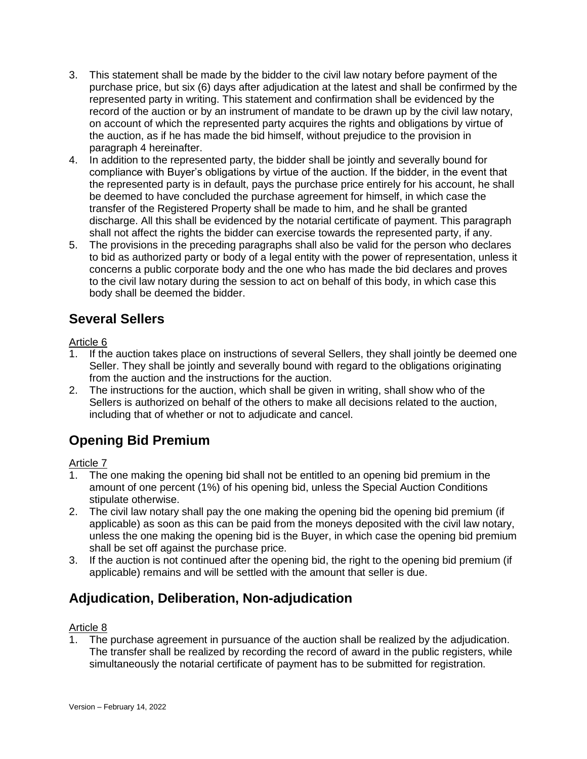- 3. This statement shall be made by the bidder to the civil law notary before payment of the purchase price, but six (6) days after adjudication at the latest and shall be confirmed by the represented party in writing. This statement and confirmation shall be evidenced by the record of the auction or by an instrument of mandate to be drawn up by the civil law notary, on account of which the represented party acquires the rights and obligations by virtue of the auction, as if he has made the bid himself, without prejudice to the provision in paragraph 4 hereinafter.
- 4. In addition to the represented party, the bidder shall be jointly and severally bound for compliance with Buyer's obligations by virtue of the auction. If the bidder, in the event that the represented party is in default, pays the purchase price entirely for his account, he shall be deemed to have concluded the purchase agreement for himself, in which case the transfer of the Registered Property shall be made to him, and he shall be granted discharge. All this shall be evidenced by the notarial certificate of payment. This paragraph shall not affect the rights the bidder can exercise towards the represented party, if any.
- 5. The provisions in the preceding paragraphs shall also be valid for the person who declares to bid as authorized party or body of a legal entity with the power of representation, unless it concerns a public corporate body and the one who has made the bid declares and proves to the civil law notary during the session to act on behalf of this body, in which case this body shall be deemed the bidder.

### **Several Sellers**

#### Article 6

- 1. If the auction takes place on instructions of several Sellers, they shall jointly be deemed one Seller. They shall be jointly and severally bound with regard to the obligations originating from the auction and the instructions for the auction.
- 2. The instructions for the auction, which shall be given in writing, shall show who of the Sellers is authorized on behalf of the others to make all decisions related to the auction, including that of whether or not to adjudicate and cancel.

### **Opening Bid Premium**

#### Article 7

- 1. The one making the opening bid shall not be entitled to an opening bid premium in the amount of one percent (1%) of his opening bid, unless the Special Auction Conditions stipulate otherwise.
- 2. The civil law notary shall pay the one making the opening bid the opening bid premium (if applicable) as soon as this can be paid from the moneys deposited with the civil law notary, unless the one making the opening bid is the Buyer, in which case the opening bid premium shall be set off against the purchase price.
- 3. If the auction is not continued after the opening bid, the right to the opening bid premium (if applicable) remains and will be settled with the amount that seller is due.

## **Adjudication, Deliberation, Non-adjudication**

#### Article 8

1. The purchase agreement in pursuance of the auction shall be realized by the adjudication. The transfer shall be realized by recording the record of award in the public registers, while simultaneously the notarial certificate of payment has to be submitted for registration.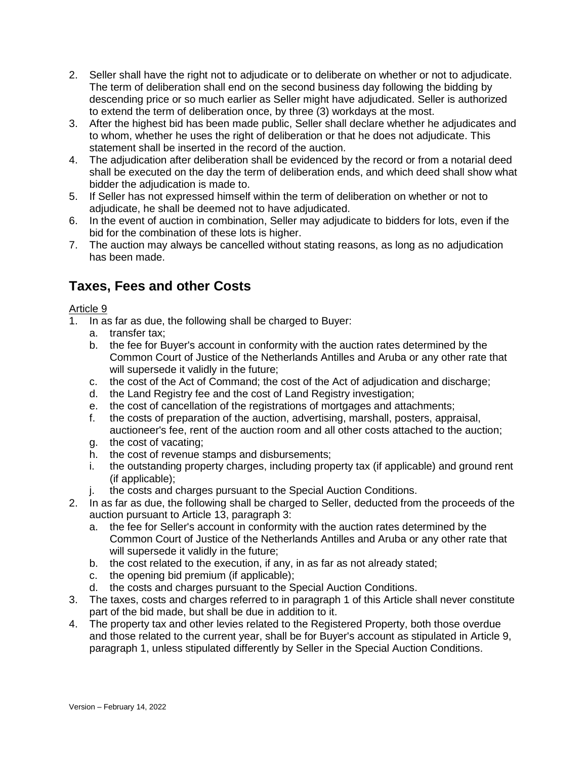- 2. Seller shall have the right not to adjudicate or to deliberate on whether or not to adjudicate. The term of deliberation shall end on the second business day following the bidding by descending price or so much earlier as Seller might have adjudicated. Seller is authorized to extend the term of deliberation once, by three (3) workdays at the most.
- 3. After the highest bid has been made public, Seller shall declare whether he adjudicates and to whom, whether he uses the right of deliberation or that he does not adjudicate. This statement shall be inserted in the record of the auction.
- 4. The adjudication after deliberation shall be evidenced by the record or from a notarial deed shall be executed on the day the term of deliberation ends, and which deed shall show what bidder the adjudication is made to.
- 5. If Seller has not expressed himself within the term of deliberation on whether or not to adjudicate, he shall be deemed not to have adjudicated.
- 6. In the event of auction in combination, Seller may adjudicate to bidders for lots, even if the bid for the combination of these lots is higher.
- 7. The auction may always be cancelled without stating reasons, as long as no adjudication has been made.

### **Taxes, Fees and other Costs**

- 1. In as far as due, the following shall be charged to Buyer:
	- a. transfer tax;
	- b. the fee for Buyer's account in conformity with the auction rates determined by the Common Court of Justice of the Netherlands Antilles and Aruba or any other rate that will supersede it validly in the future;
	- c. the cost of the Act of Command; the cost of the Act of adjudication and discharge;
	- d. the Land Registry fee and the cost of Land Registry investigation;
	- e. the cost of cancellation of the registrations of mortgages and attachments;
	- f. the costs of preparation of the auction, advertising, marshall, posters, appraisal, auctioneer's fee, rent of the auction room and all other costs attached to the auction;
	- g. the cost of vacating;
	- h. the cost of revenue stamps and disbursements;
	- i. the outstanding property charges, including property tax (if applicable) and ground rent (if applicable);
	- j. the costs and charges pursuant to the Special Auction Conditions.
- 2. In as far as due, the following shall be charged to Seller, deducted from the proceeds of the auction pursuant to Article 13, paragraph 3:
	- a. the fee for Seller's account in conformity with the auction rates determined by the Common Court of Justice of the Netherlands Antilles and Aruba or any other rate that will supersede it validly in the future;
	- b. the cost related to the execution, if any, in as far as not already stated;
	- c. the opening bid premium (if applicable);
	- d. the costs and charges pursuant to the Special Auction Conditions.
- 3. The taxes, costs and charges referred to in paragraph 1 of this Article shall never constitute part of the bid made, but shall be due in addition to it.
- 4. The property tax and other levies related to the Registered Property, both those overdue and those related to the current year, shall be for Buyer's account as stipulated in Article 9, paragraph 1, unless stipulated differently by Seller in the Special Auction Conditions.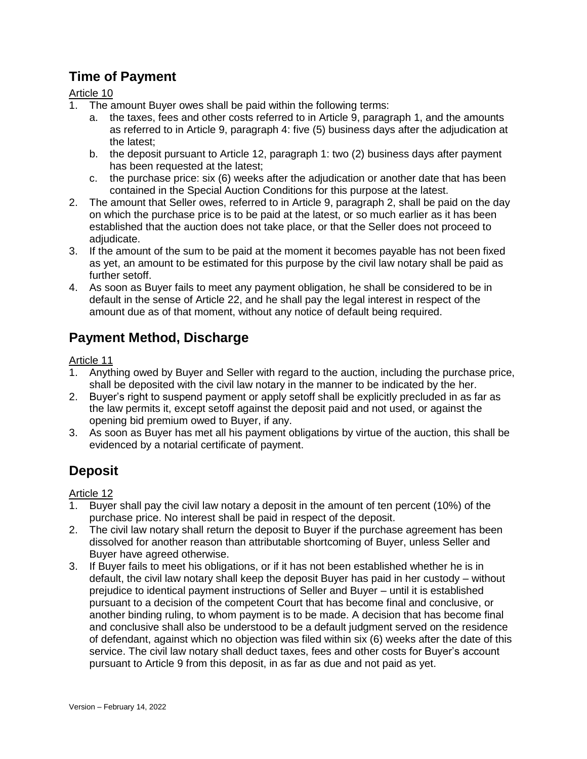### **Time of Payment**

Article 10

- 1. The amount Buyer owes shall be paid within the following terms:
	- a. the taxes, fees and other costs referred to in Article 9, paragraph 1, and the amounts as referred to in Article 9, paragraph 4: five (5) business days after the adjudication at the latest;
	- b. the deposit pursuant to Article 12, paragraph 1: two (2) business days after payment has been requested at the latest;
	- c. the purchase price: six (6) weeks after the adjudication or another date that has been contained in the Special Auction Conditions for this purpose at the latest.
- 2. The amount that Seller owes, referred to in Article 9, paragraph 2, shall be paid on the day on which the purchase price is to be paid at the latest, or so much earlier as it has been established that the auction does not take place, or that the Seller does not proceed to adiudicate.
- 3. If the amount of the sum to be paid at the moment it becomes payable has not been fixed as yet, an amount to be estimated for this purpose by the civil law notary shall be paid as further setoff.
- 4. As soon as Buyer fails to meet any payment obligation, he shall be considered to be in default in the sense of Article 22, and he shall pay the legal interest in respect of the amount due as of that moment, without any notice of default being required.

## **Payment Method, Discharge**

#### Article 11

- 1. Anything owed by Buyer and Seller with regard to the auction, including the purchase price, shall be deposited with the civil law notary in the manner to be indicated by the her.
- 2. Buyer's right to suspend payment or apply setoff shall be explicitly precluded in as far as the law permits it, except setoff against the deposit paid and not used, or against the opening bid premium owed to Buyer, if any.
- 3. As soon as Buyer has met all his payment obligations by virtue of the auction, this shall be evidenced by a notarial certificate of payment.

# **Deposit**

- 1. Buyer shall pay the civil law notary a deposit in the amount of ten percent (10%) of the purchase price. No interest shall be paid in respect of the deposit.
- 2. The civil law notary shall return the deposit to Buyer if the purchase agreement has been dissolved for another reason than attributable shortcoming of Buyer, unless Seller and Buyer have agreed otherwise.
- 3. If Buyer fails to meet his obligations, or if it has not been established whether he is in default, the civil law notary shall keep the deposit Buyer has paid in her custody – without prejudice to identical payment instructions of Seller and Buyer – until it is established pursuant to a decision of the competent Court that has become final and conclusive, or another binding ruling, to whom payment is to be made. A decision that has become final and conclusive shall also be understood to be a default judgment served on the residence of defendant, against which no objection was filed within six (6) weeks after the date of this service. The civil law notary shall deduct taxes, fees and other costs for Buyer's account pursuant to Article 9 from this deposit, in as far as due and not paid as yet.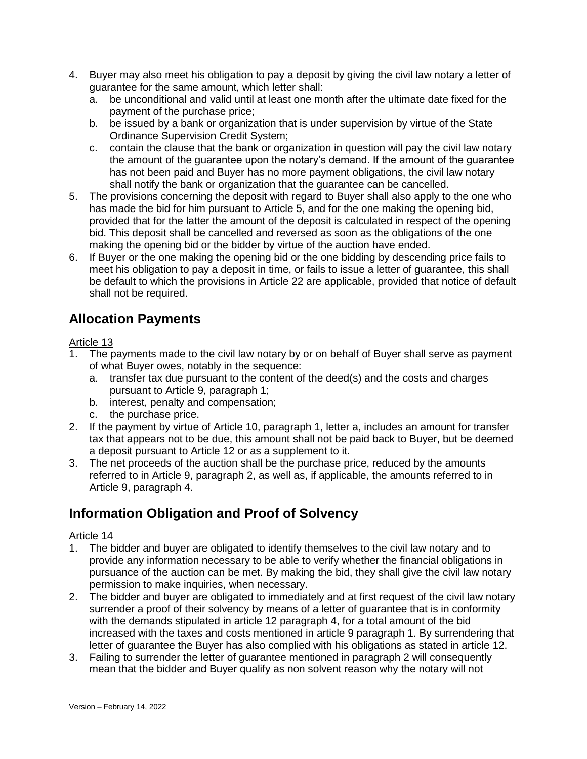- 4. Buyer may also meet his obligation to pay a deposit by giving the civil law notary a letter of guarantee for the same amount, which letter shall:
	- a. be unconditional and valid until at least one month after the ultimate date fixed for the payment of the purchase price;
	- b. be issued by a bank or organization that is under supervision by virtue of the State Ordinance Supervision Credit System;
	- c. contain the clause that the bank or organization in question will pay the civil law notary the amount of the guarantee upon the notary's demand. If the amount of the guarantee has not been paid and Buyer has no more payment obligations, the civil law notary shall notify the bank or organization that the guarantee can be cancelled.
- 5. The provisions concerning the deposit with regard to Buyer shall also apply to the one who has made the bid for him pursuant to Article 5, and for the one making the opening bid, provided that for the latter the amount of the deposit is calculated in respect of the opening bid. This deposit shall be cancelled and reversed as soon as the obligations of the one making the opening bid or the bidder by virtue of the auction have ended.
- 6. If Buyer or the one making the opening bid or the one bidding by descending price fails to meet his obligation to pay a deposit in time, or fails to issue a letter of guarantee, this shall be default to which the provisions in Article 22 are applicable, provided that notice of default shall not be required.

## **Allocation Payments**

#### Article 13

- 1. The payments made to the civil law notary by or on behalf of Buyer shall serve as payment of what Buyer owes, notably in the sequence:
	- a. transfer tax due pursuant to the content of the deed(s) and the costs and charges pursuant to Article 9, paragraph 1;
	- b. interest, penalty and compensation;
	- c. the purchase price.
- 2. If the payment by virtue of Article 10, paragraph 1, letter a, includes an amount for transfer tax that appears not to be due, this amount shall not be paid back to Buyer, but be deemed a deposit pursuant to Article 12 or as a supplement to it.
- 3. The net proceeds of the auction shall be the purchase price, reduced by the amounts referred to in Article 9, paragraph 2, as well as, if applicable, the amounts referred to in Article 9, paragraph 4.

## **Information Obligation and Proof of Solvency**

- 1. The bidder and buyer are obligated to identify themselves to the civil law notary and to provide any information necessary to be able to verify whether the financial obligations in pursuance of the auction can be met. By making the bid, they shall give the civil law notary permission to make inquiries, when necessary.
- 2. The bidder and buyer are obligated to immediately and at first request of the civil law notary surrender a proof of their solvency by means of a letter of guarantee that is in conformity with the demands stipulated in article 12 paragraph 4, for a total amount of the bid increased with the taxes and costs mentioned in article 9 paragraph 1. By surrendering that letter of guarantee the Buyer has also complied with his obligations as stated in article 12.
- 3. Failing to surrender the letter of guarantee mentioned in paragraph 2 will consequently mean that the bidder and Buyer qualify as non solvent reason why the notary will not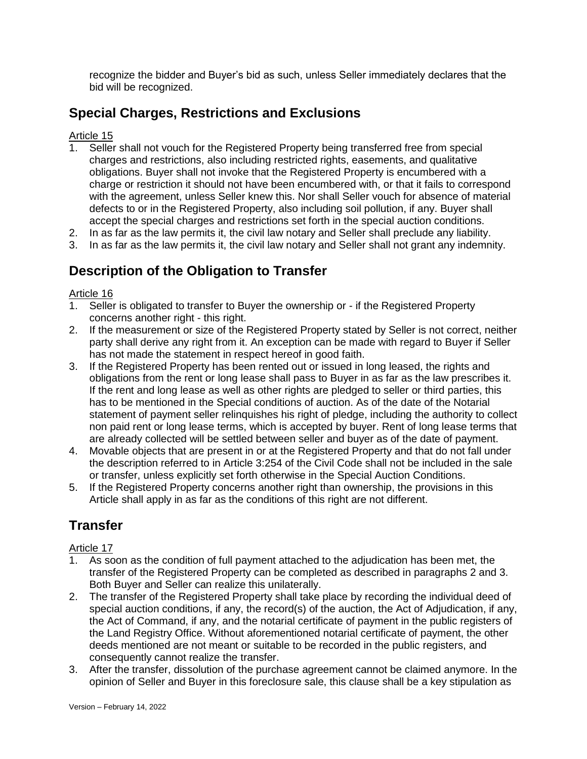recognize the bidder and Buyer's bid as such, unless Seller immediately declares that the bid will be recognized.

## **Special Charges, Restrictions and Exclusions**

#### Article 15

- 1. Seller shall not vouch for the Registered Property being transferred free from special charges and restrictions, also including restricted rights, easements, and qualitative obligations. Buyer shall not invoke that the Registered Property is encumbered with a charge or restriction it should not have been encumbered with, or that it fails to correspond with the agreement, unless Seller knew this. Nor shall Seller vouch for absence of material defects to or in the Registered Property, also including soil pollution, if any. Buyer shall accept the special charges and restrictions set forth in the special auction conditions.
- 2. In as far as the law permits it, the civil law notary and Seller shall preclude any liability.
- 3. In as far as the law permits it, the civil law notary and Seller shall not grant any indemnity.

### **Description of the Obligation to Transfer**

#### Article 16

- 1. Seller is obligated to transfer to Buyer the ownership or if the Registered Property concerns another right - this right.
- 2. If the measurement or size of the Registered Property stated by Seller is not correct, neither party shall derive any right from it. An exception can be made with regard to Buyer if Seller has not made the statement in respect hereof in good faith.
- 3. If the Registered Property has been rented out or issued in long leased, the rights and obligations from the rent or long lease shall pass to Buyer in as far as the law prescribes it. If the rent and long lease as well as other rights are pledged to seller or third parties, this has to be mentioned in the Special conditions of auction. As of the date of the Notarial statement of payment seller relinquishes his right of pledge, including the authority to collect non paid rent or long lease terms, which is accepted by buyer. Rent of long lease terms that are already collected will be settled between seller and buyer as of the date of payment.
- 4. Movable objects that are present in or at the Registered Property and that do not fall under the description referred to in Article 3:254 of the Civil Code shall not be included in the sale or transfer, unless explicitly set forth otherwise in the Special Auction Conditions.
- 5. If the Registered Property concerns another right than ownership, the provisions in this Article shall apply in as far as the conditions of this right are not different.

## **Transfer**

- 1. As soon as the condition of full payment attached to the adjudication has been met, the transfer of the Registered Property can be completed as described in paragraphs 2 and 3. Both Buyer and Seller can realize this unilaterally.
- 2. The transfer of the Registered Property shall take place by recording the individual deed of special auction conditions, if any, the record(s) of the auction, the Act of Adjudication, if any, the Act of Command, if any, and the notarial certificate of payment in the public registers of the Land Registry Office. Without aforementioned notarial certificate of payment, the other deeds mentioned are not meant or suitable to be recorded in the public registers, and consequently cannot realize the transfer.
- 3. After the transfer, dissolution of the purchase agreement cannot be claimed anymore. In the opinion of Seller and Buyer in this foreclosure sale, this clause shall be a key stipulation as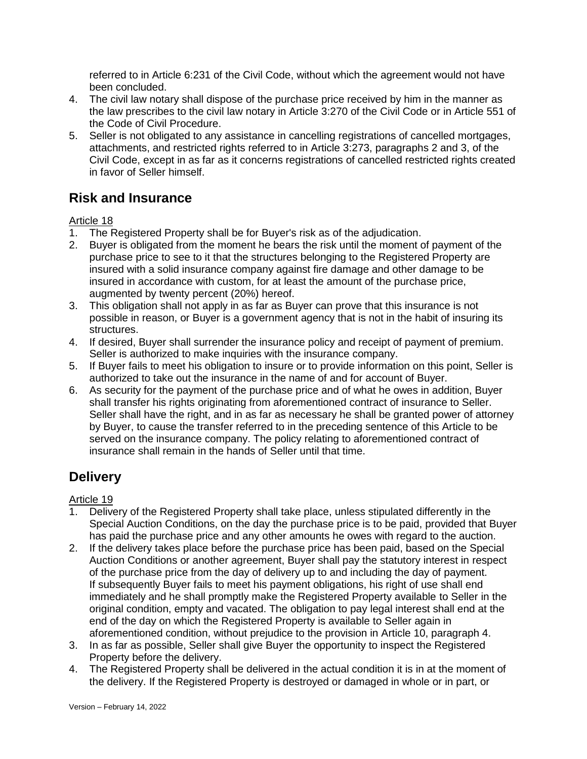referred to in Article 6:231 of the Civil Code, without which the agreement would not have been concluded.

- 4. The civil law notary shall dispose of the purchase price received by him in the manner as the law prescribes to the civil law notary in Article 3:270 of the Civil Code or in Article 551 of the Code of Civil Procedure.
- 5. Seller is not obligated to any assistance in cancelling registrations of cancelled mortgages, attachments, and restricted rights referred to in Article 3:273, paragraphs 2 and 3, of the Civil Code, except in as far as it concerns registrations of cancelled restricted rights created in favor of Seller himself.

## **Risk and Insurance**

#### Article 18

- 1. The Registered Property shall be for Buyer's risk as of the adjudication.
- 2. Buyer is obligated from the moment he bears the risk until the moment of payment of the purchase price to see to it that the structures belonging to the Registered Property are insured with a solid insurance company against fire damage and other damage to be insured in accordance with custom, for at least the amount of the purchase price, augmented by twenty percent (20%) hereof.
- 3. This obligation shall not apply in as far as Buyer can prove that this insurance is not possible in reason, or Buyer is a government agency that is not in the habit of insuring its structures.
- 4. If desired, Buyer shall surrender the insurance policy and receipt of payment of premium. Seller is authorized to make inquiries with the insurance company.
- 5. If Buyer fails to meet his obligation to insure or to provide information on this point, Seller is authorized to take out the insurance in the name of and for account of Buyer.
- 6. As security for the payment of the purchase price and of what he owes in addition, Buyer shall transfer his rights originating from aforementioned contract of insurance to Seller. Seller shall have the right, and in as far as necessary he shall be granted power of attorney by Buyer, to cause the transfer referred to in the preceding sentence of this Article to be served on the insurance company. The policy relating to aforementioned contract of insurance shall remain in the hands of Seller until that time.

## **Delivery**

- 1. Delivery of the Registered Property shall take place, unless stipulated differently in the Special Auction Conditions, on the day the purchase price is to be paid, provided that Buyer has paid the purchase price and any other amounts he owes with regard to the auction.
- 2. If the delivery takes place before the purchase price has been paid, based on the Special Auction Conditions or another agreement, Buyer shall pay the statutory interest in respect of the purchase price from the day of delivery up to and including the day of payment. If subsequently Buyer fails to meet his payment obligations, his right of use shall end immediately and he shall promptly make the Registered Property available to Seller in the original condition, empty and vacated. The obligation to pay legal interest shall end at the end of the day on which the Registered Property is available to Seller again in aforementioned condition, without prejudice to the provision in Article 10, paragraph 4.
- 3. In as far as possible, Seller shall give Buyer the opportunity to inspect the Registered Property before the delivery.
- 4. The Registered Property shall be delivered in the actual condition it is in at the moment of the delivery. If the Registered Property is destroyed or damaged in whole or in part, or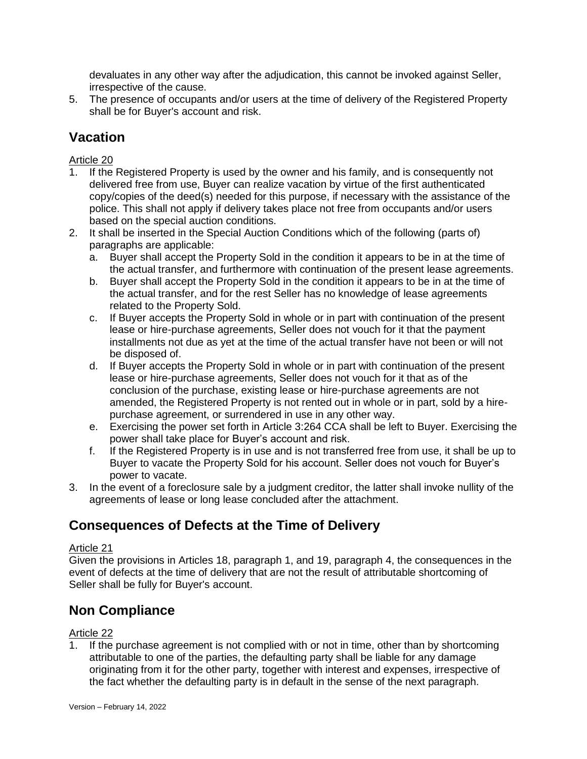devaluates in any other way after the adjudication, this cannot be invoked against Seller, irrespective of the cause.

5. The presence of occupants and/or users at the time of delivery of the Registered Property shall be for Buyer's account and risk.

### **Vacation**

Article 20

- 1. If the Registered Property is used by the owner and his family, and is consequently not delivered free from use, Buyer can realize vacation by virtue of the first authenticated copy/copies of the deed(s) needed for this purpose, if necessary with the assistance of the police. This shall not apply if delivery takes place not free from occupants and/or users based on the special auction conditions.
- 2. It shall be inserted in the Special Auction Conditions which of the following (parts of) paragraphs are applicable:
	- a. Buyer shall accept the Property Sold in the condition it appears to be in at the time of the actual transfer, and furthermore with continuation of the present lease agreements.
	- b. Buyer shall accept the Property Sold in the condition it appears to be in at the time of the actual transfer, and for the rest Seller has no knowledge of lease agreements related to the Property Sold.
	- c. If Buyer accepts the Property Sold in whole or in part with continuation of the present lease or hire-purchase agreements, Seller does not vouch for it that the payment installments not due as yet at the time of the actual transfer have not been or will not be disposed of.
	- d. If Buyer accepts the Property Sold in whole or in part with continuation of the present lease or hire-purchase agreements, Seller does not vouch for it that as of the conclusion of the purchase, existing lease or hire-purchase agreements are not amended, the Registered Property is not rented out in whole or in part, sold by a hirepurchase agreement, or surrendered in use in any other way.
	- e. Exercising the power set forth in Article 3:264 CCA shall be left to Buyer. Exercising the power shall take place for Buyer's account and risk.
	- f. If the Registered Property is in use and is not transferred free from use, it shall be up to Buyer to vacate the Property Sold for his account. Seller does not vouch for Buyer's power to vacate.
- 3. In the event of a foreclosure sale by a judgment creditor, the latter shall invoke nullity of the agreements of lease or long lease concluded after the attachment.

## **Consequences of Defects at the Time of Delivery**

#### Article 21

Given the provisions in Articles 18, paragraph 1, and 19, paragraph 4, the consequences in the event of defects at the time of delivery that are not the result of attributable shortcoming of Seller shall be fully for Buyer's account.

### **Non Compliance**

#### Article 22

If the purchase agreement is not complied with or not in time, other than by shortcoming attributable to one of the parties, the defaulting party shall be liable for any damage originating from it for the other party, together with interest and expenses, irrespective of the fact whether the defaulting party is in default in the sense of the next paragraph.